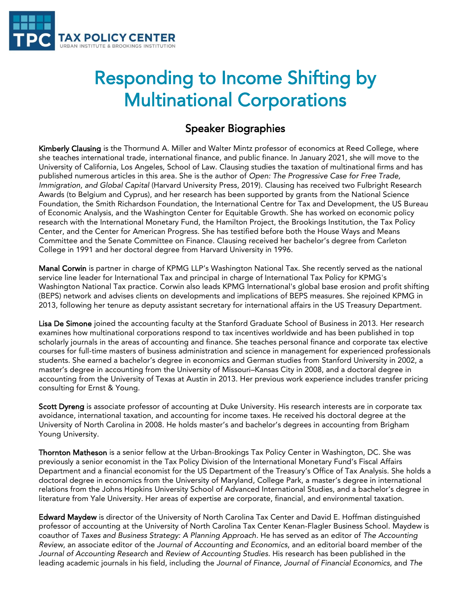

## Responding to Income Shifting by Multinational Corporations

## Speaker Biographies

Kimberly Clausing is the Thormund A. Miller and Walter Mintz professor of economics at Reed College, where she teaches international trade, international finance, and public finance. In January 2021, she will move to the University of California, Los Angeles, School of Law. Clausing studies the taxation of multinational firms and has published numerous articles in this area. She is the author of *Open: The Progressive Case for Free Trade, Immigration, and Global Capital* (Harvard University Press, 2019). Clausing has received two Fulbright Research Awards (to Belgium and Cyprus), and her research has been supported by grants from the National Science Foundation, the Smith Richardson Foundation, the International Centre for Tax and Development, the US Bureau of Economic Analysis, and the Washington Center for Equitable Growth. She has worked on economic policy research with the International Monetary Fund, the Hamilton Project, the Brookings Institution, the Tax Policy Center, and the Center for American Progress. She has testified before both the House Ways and Means Committee and the Senate Committee on Finance. Clausing received her bachelor's degree from Carleton College in 1991 and her doctoral degree from Harvard University in 1996.

Manal Corwin is partner in charge of KPMG LLP's Washington National Tax. She recently served as the national service line leader for International Tax and principal in charge of International Tax Policy for KPMG's Washington National Tax practice. Corwin also leads KPMG International's global base erosion and profit shifting (BEPS) network and advises clients on developments and implications of BEPS measures. She rejoined KPMG in 2013, following her tenure as deputy assistant secretary for international affairs in the US Treasury Department.

Lisa De Simone joined the accounting faculty at the Stanford Graduate School of Business in 2013. Her research examines how multinational corporations respond to tax incentives worldwide and has been published in top scholarly journals in the areas of accounting and finance. She teaches personal finance and corporate tax elective courses for full-time masters of business administration and science in management for experienced professionals students. She earned a bachelor's degree in economics and German studies from Stanford University in 2002, a master's degree in accounting from the University of Missouri–Kansas City in 2008, and a doctoral degree in accounting from the University of Texas at Austin in 2013. Her previous work experience includes transfer pricing consulting for Ernst & Young.

Scott Dyreng is associate professor of accounting at Duke University. His research interests are in corporate tax avoidance, international taxation, and accounting for income taxes. He received his doctoral degree at the University of North Carolina in 2008. He holds master's and bachelor's degrees in accounting from Brigham Young University.

Thornton Matheson is a senior fellow at the Urban-Brookings Tax Policy Center in Washington, DC. She was previously a senior economist in the Tax Policy Division of the International Monetary Fund's Fiscal Affairs Department and a financial economist for the US Department of the Treasury's Office of Tax Analysis. She holds a doctoral degree in economics from the University of Maryland, College Park, a master's degree in international relations from the Johns Hopkins University School of Advanced International Studies, and a bachelor's degree in literature from Yale University. Her areas of expertise are corporate, financial, and environmental taxation.

Edward Maydew is director of the University of North Carolina Tax Center and David E. Hoffman distinguished professor of accounting at the University of North Carolina Tax Center Kenan-Flagler Business School. Maydew is coauthor of *Taxes and Business Strategy: A Planning Approach.* He has served as an editor of *The Accounting Review*, an associate editor of the *Journal of Accounting and Economics*, and an editorial board member of the *Journal of Accounting Research* and *Review of Accounting Studies*. His research has been published in the leading academic journals in his field, including the *Journal of Finance*, *Journal of Financial Economics*, and *The*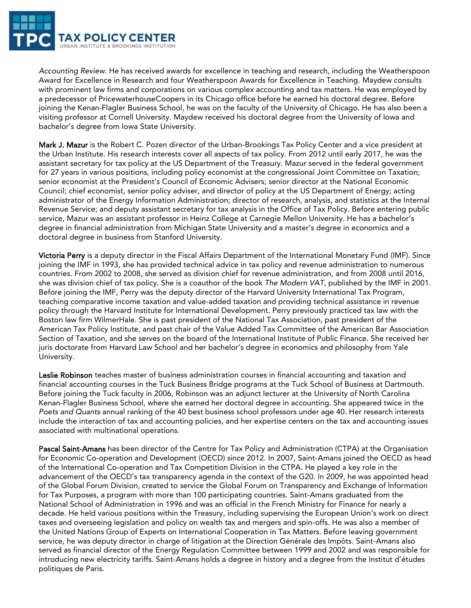

*Accounting Review*. He has received awards for excellence in teaching and research, including the Weatherspoon Award for Excellence in Research and four Weatherspoon Awards for Excellence in Teaching. Maydew consults with prominent law firms and corporations on various complex accounting and tax matters. He was employed by a predecessor of PricewaterhouseCoopers in its Chicago office before he earned his doctoral degree. Before joining the Kenan-Flagler Business School, he was on the faculty of the University of Chicago. He has also been a visiting professor at Cornell University. Maydew received his doctoral degree from the University of Iowa and bachelor's degree from Iowa State University.

Mark J. Mazur is the Robert C. Pozen director of the Urban-Brookings Tax Policy Center and a vice president at the Urban Institute. His research interests cover all aspects of tax policy. From 2012 until early 2017, he was the assistant secretary for tax policy at the US Department of the Treasury. Mazur served in the federal government for 27 years in various positions, including policy economist at the congressional Joint Committee on Taxation; senior economist at the President's Council of Economic Advisers; senior director at the National Economic Council; chief economist, senior policy adviser, and director of policy at the US Department of Energy; acting administrator of the Energy Information Administration; director of research, analysis, and statistics at the Internal Revenue Service; and deputy assistant secretary for tax analysis in the Office of Tax Policy. Before entering public service, Mazur was an assistant professor in Heinz College at Carnegie Mellon University. He has a bachelor's degree in financial administration from Michigan State University and a master's degree in economics and a doctoral degree in business from Stanford University.

Victoria Perry is a deputy director in the Fiscal Affairs Department of the International Monetary Fund (IMF). Since joining the IMF in 1993, she has provided technical advice in tax policy and revenue administration to numerous countries. From 2002 to 2008, she served as division chief for revenue administration, and from 2008 until 2016, she was division chief of tax policy. She is a coauthor of the book *The Modern VAT*, published by the IMF in 2001. Before joining the IMF, Perry was the deputy director of the Harvard University International Tax Program, teaching comparative income taxation and value-added taxation and providing technical assistance in revenue policy through the Harvard Institute for International Development. Perry previously practiced tax law with the Boston law firm WilmerHale. She is past president of the National Tax Association, past president of the American Tax Policy Institute, and past chair of the Value Added Tax Committee of the American Bar Association Section of Taxation, and she serves on the board of the International Institute of Public Finance. She received her juris doctorate from Harvard Law School and her bachelor's degree in economics and philosophy from Yale University.

Leslie Robinson teaches master of business administration courses in financial accounting and taxation and financial accounting courses in the Tuck Business Bridge programs at the Tuck School of Business at Dartmouth. Before joining the Tuck faculty in 2006, Robinson was an adjunct lecturer at the University of North Carolina Kenan-Flagler Business School, where she earned her doctoral degree in accounting. She appeared twice in the *Poets and Quants* annual ranking of the 40 best business school professors under age 40. Her research interests include the interaction of tax and accounting policies, and her expertise centers on the tax and accounting issues associated with multinational operations.

Pascal Saint-Amans has been director of the Centre for Tax Policy and Administration (CTPA) at the Organisation for Economic Co-operation and Development (OECD) since 2012. In 2007, Saint-Amans joined the OECD as head of the International Co-operation and Tax Competition Division in the CTPA. He played a key role in the advancement of the OECD's tax transparency agenda in the context of the G20. In 2009, he was appointed head of the Global Forum Division, created to service the Global Forum on Transparency and Exchange of Information for Tax Purposes, a program with more than 100 participating countries. Saint-Amans graduated from the National School of Administration in 1996 and was an official in the French Ministry for Finance for nearly a decade. He held various positions within the Treasury, including supervising the European Union's work on direct taxes and overseeing legislation and policy on wealth tax and mergers and spin-offs. He was also a member of the United Nations Group of Experts on International Cooperation in Tax Matters. Before leaving government service, he was deputy director in charge of litigation at the Direction Générale des Impôts. Saint-Amans also served as financial director of the Energy Regulation Committee between 1999 and 2002 and was responsible for introducing new electricity tariffs. Saint-Amans holds a degree in history and a degree from the Institut d'études politiques de Paris.